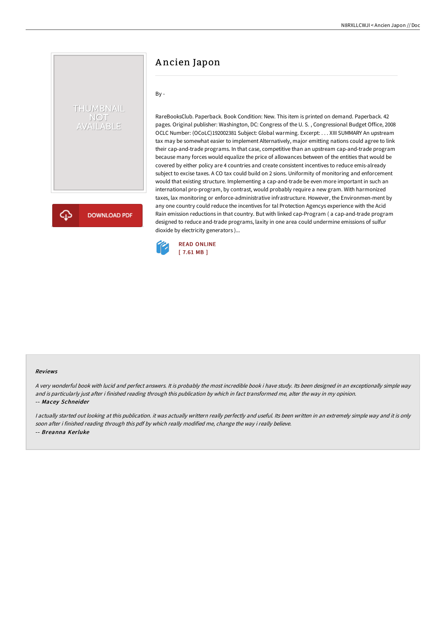# A ncien Japon

## By -

THUMBNAIL NOT<br>AVAILABLE

**DOWNLOAD PDF** 

RareBooksClub. Paperback. Book Condition: New. This item is printed on demand. Paperback. 42 pages. Original publisher: Washington, DC: Congress of the U. S. , Congressional Budget Office, 2008 OCLC Number: (OCoLC)192002381 Subject: Global warming. Excerpt: . . . XIII SUMMARY An upstream tax may be somewhat easier to implement Alternatively, major emitting nations could agree to link their cap-and-trade programs. In that case, competitive than an upstream cap-and-trade program because many forces would equalize the price of allowances between of the entities that would be covered by either policy are 4 countries and create consistent incentives to reduce emis-already subject to excise taxes. A CO tax could build on 2 sions. Uniformity of monitoring and enforcement would that existing structure. Implementing a cap-and-trade be even more important in such an international pro-program, by contrast, would probably require a new gram. With harmonized taxes, lax monitoring or enforce-administrative infrastructure. However, the Environmen-ment by any one country could reduce the incentives for tal Protection Agencys experience with the Acid Rain emission reductions in that country. But with linked cap-Program ( a cap-and-trade program designed to reduce and-trade programs, laxity in one area could undermine emissions of sulfur dioxide by electricity generators )...



#### Reviews

<sup>A</sup> very wonderful book with lucid and perfect answers. It is probably the most incredible book i have study. Its been designed in an exceptionally simple way and is particularly just after i finished reading through this publication by which in fact transformed me, alter the way in my opinion. -- Macey Schneider

<sup>I</sup> actually started out looking at this publication. it was actually writtern really perfectly and useful. Its been written in an extremely simple way and it is only soon after i finished reading through this pdf by which really modified me, change the way i really believe. -- Breanna Kerluke